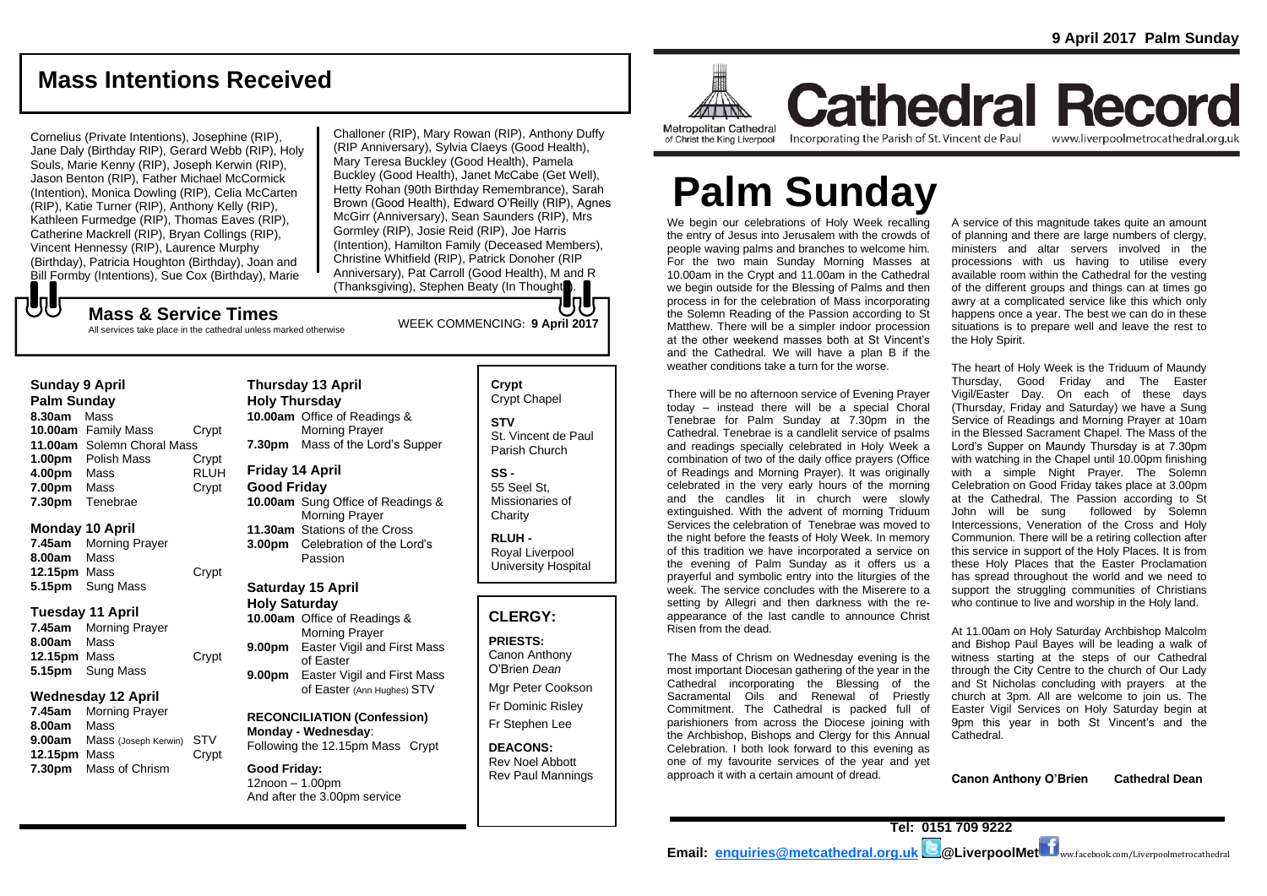# **Mass Intentions Received**

Cornelius (Private Intentions), Josephine (RIP), Jane Daly (Birthday RIP), Gerard Webb (RIP), Holy Souls, Marie Kenny (RIP), Joseph Kerwin (RIP), Jason Benton (RIP), Father Michael McCormick (Intention), Monica Dowling (RIP), Celia McCarten (RIP), Katie Turner (RIP), Anthony Kelly (RIP), Kathleen Furmedge (RIP), Thomas Eaves (RIP), Catherine Mackrell (RIP), Bryan Collings (RIP), Vincent Hennessy (RIP), Laurence Murphy (Birthday), Patricia Houghton (Birthday), Joan and Bill Formby (Intentions), Sue Cox (Birthday), Marie

Challoner (RIP), Mary Rowan (RIP), Anthony Duffy (RIP Anniversary), Sylvia Claeys (Good Health), Mary Teresa Buckley (Good Health), Pamela Buckley (Good Health), Janet McCabe (Get Well), Hetty Rohan (90th Birthday Remembrance), Sarah Brown (Good Health), Edward O'Reilly (RIP), Agnes McGirr (Anniversary), Sean Saunders (RIP), Mrs Gormley (RIP), Josie Reid (RIP), Joe Harris (Intention), Hamilton Family (Deceased Members), Christine Whitfield (RIP), Patrick Donoher (RIP Anniversary), Pat Carroll (Good Health), M and R (Thanksgiving), Stephen Beaty (In Thought).

# WEEK COMMENCING: **<sup>9</sup> April <sup>2017</sup> Mass & Service Times**

All services take place in the cathedral unless marked otherwise

#### **Sunday 9 April**

でし

**Palm Sunday 8.30am** Mass **10.00am** Family Mass Crypt **11.00am** Solemn Choral Mass **1.00pm** Polish Mass Crypt<br>**4.00pm** Mass RLUH **4.00pm** Mass **7.00pm** Mass Crypt **7.30pm** Tenebrae

#### **Monday 10 April**

**7.45am** Morning Prayer **8.00am** Mass **12.15pm** Mass Crypt **5.15pm** Sung Mass

#### **Tuesday 11 April**

**7.45am** Morning Prayer **8.00am** Mass **12.15pm** Mass Crypt **5.15pm** Sung Mass

#### **Wednesday 12 April**

**7.45am** Morning Prayer **8.00am** Mass **9.00am** Mass (Joseph Kerwin) STV **12.15pm** Mass Crypt **7.30pm** Mass of Chrism

#### **Thursday 13 April Holy Thursday 10.00am** Office of Readings & Morning Prayer **7.30pm** Mass of the Lord's Supper

**Friday 14 April** 

## **Good Friday**

**10.00am** Sung Office of Readings & Morning Prayer **11.30am** Stations of the Cross **3.00pm** Celebration of the Lord's Passion

# **Saturday 15 April**

**Holy Saturday 10.00am** Office of Readings & Morning Prayer **9.00pm** Easter Vigil and First Mass of Easter **9.00pm** Easter Vigil and First Mass of Easter (Ann Hughes) STV

**RECONCILIATION (Confession) Monday - Wednesday**: Following the 12.15pm Mass Crypt

**Good Friday:** 12noon – 1.00pm And after the 3.00pm service

# **Crypt**  Crypt Chapel

**STV** St. Vincent de Paul Parish Church

#### **SS -** 55 Seel St, Missionaries of **Charity**

**RLUH -** Royal Liverpool University Hospital

## **CLERGY:**

**PRIESTS:** Canon Anthony O'Brien *Dean*

Mgr Peter Cookson Fr Dominic Risley

Fr Stephen Lee

**DEACONS:** Rev Noel Abbott Rev Paul Mannings



**Cathedral Record Metropolitan Cathedral** of Christ the King Liverpool

Incorporating the Parish of St. Vincent de Paul

www.liverpoolmetrocathedral.org.uk

# **Palm Sunday**

We begin our celebrations of Holy Week recalling the entry of Jesus into Jerusalem with the crowds of people waving palms and branches to welcome him. For the two main Sunday Morning Masses at 10.00am in the Crypt and 11.00am in the Cathedral we begin outside for the Blessing of Palms and then process in for the celebration of Mass incorporating the Solemn Reading of the Passion according to St Matthew. There will be a simpler indoor procession at the other weekend masses both at St Vincent's and the Cathedral. We will have a plan B if the weather conditions take a turn for the worse.

There will be no afternoon service of Evening Prayer today – instead there will be a special Choral Tenebrae for Palm Sunday at 7.30pm in the Cathedral. Tenebrae is a candlelit service of psalms and readings specially celebrated in Holy Week a combination of two of the daily office prayers (Office of Readings and Morning Prayer). It was originally celebrated in the very early hours of the morning and the candles lit in church were slowly extinguished. With the advent of morning Triduum Services the celebration of Tenebrae was moved to the night before the feasts of Holy Week. In memory of this tradition we have incorporated a service on the evening of Palm Sunday as it offers us a prayerful and symbolic entry into the liturgies of the week. The service concludes with the Miserere to a setting by Allegri and then darkness with the reappearance of the last candle to announce Christ Risen from the dead.

The Mass of Chrism on Wednesday evening is the most important Diocesan gathering of the year in the Cathedral incorporating the Blessing of the Sacramental Oils and Renewal of Priestly Commitment. The Cathedral is packed full of parishioners from across the Diocese joining with the Archbishop, Bishops and Clergy for this Annual Celebration. I both look forward to this evening as one of my favourite services of the year and yet approach it with a certain amount of dread.

A service of this magnitude takes quite an amount of planning and there are large numbers of clergy, ministers and altar servers involved in the processions with us having to utilise every available room within the Cathedral for the vesting of the different groups and things can at times go awry at a complicated service like this which only happens once a year. The best we can do in these situations is to prepare well and leave the rest to the Holy Spirit.

The heart of Holy Week is the Triduum of Maundy Thursday, Good Friday and The Easter Vigil/Easter Day. On each of these days (Thursday, Friday and Saturday) we have a Sung Service of Readings and Morning Prayer at 10am in the Blessed Sacrament Chapel. The Mass of the Lord's Supper on Maundy Thursday is at 7.30pm with watching in the Chapel until 10.00pm finishing with a simple Night Prayer. The Solemn Celebration on Good Friday takes place at 3.00pm at the Cathedral. The Passion according to St John will be sung followed by Solemn Intercessions, Veneration of the Cross and Holy Communion. There will be a retiring collection after this service in support of the Holy Places. It is from these Holy Places that the Easter Proclamation has spread throughout the world and we need to support the struggling communities of Christians who continue to live and worship in the Holy land.

At 11.00am on Holy Saturday Archbishop Malcolm and Bishop Paul Bayes will be leading a walk of witness starting at the steps of our Cathedral through the City Centre to the church of Our Lady and St Nicholas concluding with prayers at the church at 3pm. All are welcome to join us. The Easter Vigil Services on Holy Saturday begin at 9pm this year in both St Vincent's and the Cathedral.

**Canon Anthony O'Brien Cathedral Dean**